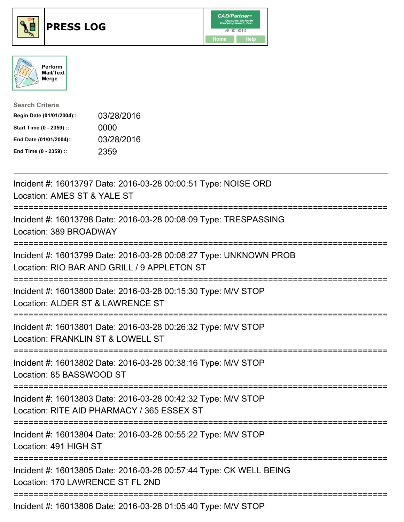





| <b>Search Criteria</b>    |            |
|---------------------------|------------|
| Begin Date (01/01/2004):: | 03/28/2016 |
| Start Time (0 - 2359) ::  | 0000       |
| End Date (01/01/2004)::   | 03/28/2016 |
| End Time (0 - 2359) ::    | 2359       |

| Incident #: 16013797 Date: 2016-03-28 00:00:51 Type: NOISE ORD<br>Location: AMES ST & YALE ST                                                |
|----------------------------------------------------------------------------------------------------------------------------------------------|
| Incident #: 16013798 Date: 2016-03-28 00:08:09 Type: TRESPASSING<br>Location: 389 BROADWAY<br>===============<br>===================         |
| Incident #: 16013799 Date: 2016-03-28 00:08:27 Type: UNKNOWN PROB<br>Location: RIO BAR AND GRILL / 9 APPLETON ST                             |
| Incident #: 16013800 Date: 2016-03-28 00:15:30 Type: M/V STOP<br>Location: ALDER ST & LAWRENCE ST<br>:========================<br>---------- |
| Incident #: 16013801 Date: 2016-03-28 00:26:32 Type: M/V STOP<br>Location: FRANKLIN ST & LOWELL ST<br>:=======================               |
| Incident #: 16013802 Date: 2016-03-28 00:38:16 Type: M/V STOP<br>Location: 85 BASSWOOD ST                                                    |
| Incident #: 16013803 Date: 2016-03-28 00:42:32 Type: M/V STOP<br>Location: RITE AID PHARMACY / 365 ESSEX ST<br>============================= |
| Incident #: 16013804 Date: 2016-03-28 00:55:22 Type: M/V STOP<br>Location: 491 HIGH ST                                                       |
| Incident #: 16013805 Date: 2016-03-28 00:57:44 Type: CK WELL BEING<br>Location: 170 LAWRENCE ST FL 2ND                                       |
| Incident #: 16013806 Date: 2016-03-28 01:05:40 Type: M/V STOP                                                                                |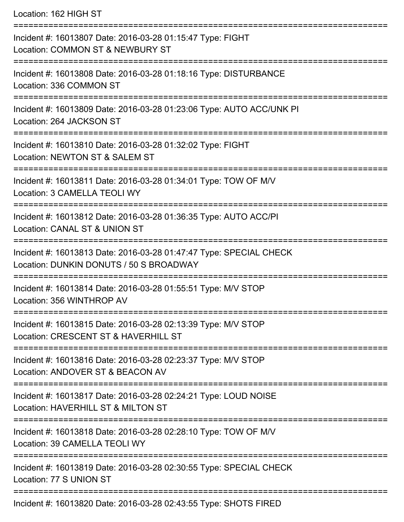Location: 162 HIGH ST

| Incident #: 16013807 Date: 2016-03-28 01:15:47 Type: FIGHT<br>Location: COMMON ST & NEWBURY ST                |
|---------------------------------------------------------------------------------------------------------------|
| Incident #: 16013808 Date: 2016-03-28 01:18:16 Type: DISTURBANCE<br>Location: 336 COMMON ST                   |
| Incident #: 16013809 Date: 2016-03-28 01:23:06 Type: AUTO ACC/UNK PI<br>Location: 264 JACKSON ST              |
| Incident #: 16013810 Date: 2016-03-28 01:32:02 Type: FIGHT<br>Location: NEWTON ST & SALEM ST                  |
| Incident #: 16013811 Date: 2016-03-28 01:34:01 Type: TOW OF M/V<br>Location: 3 CAMELLA TEOLI WY               |
| Incident #: 16013812 Date: 2016-03-28 01:36:35 Type: AUTO ACC/PI<br>Location: CANAL ST & UNION ST             |
| Incident #: 16013813 Date: 2016-03-28 01:47:47 Type: SPECIAL CHECK<br>Location: DUNKIN DONUTS / 50 S BROADWAY |
| Incident #: 16013814 Date: 2016-03-28 01:55:51 Type: M/V STOP<br>Location: 356 WINTHROP AV                    |
| Incident #: 16013815 Date: 2016-03-28 02:13:39 Type: M/V STOP<br>Location: CRESCENT ST & HAVERHILL ST         |
| Incident #: 16013816 Date: 2016-03-28 02:23:37 Type: M/V STOP<br>Location: ANDOVER ST & BEACON AV             |
| Incident #: 16013817 Date: 2016-03-28 02:24:21 Type: LOUD NOISE<br>Location: HAVERHILL ST & MILTON ST         |
| Incident #: 16013818 Date: 2016-03-28 02:28:10 Type: TOW OF M/V<br>Location: 39 CAMELLA TEOLI WY              |
| Incident #: 16013819 Date: 2016-03-28 02:30:55 Type: SPECIAL CHECK<br>Location: 77 S UNION ST                 |
| Incident #: 16013820 Date: 2016-03-28 02:43:55 Type: SHOTS FIRED                                              |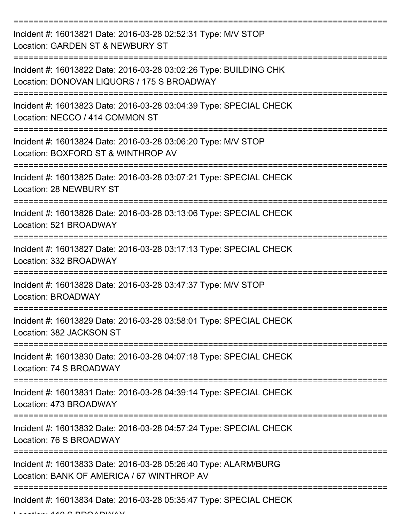=========================================================================== Incident #: 16013821 Date: 2016-03-28 02:52:31 Type: M/V STOP Location: GARDEN ST & NEWBURY ST =========================================================================== Incident #: 16013822 Date: 2016-03-28 03:02:26 Type: BUILDING CHK Location: DONOVAN LIQUORS / 175 S BROADWAY =========================================================================== Incident #: 16013823 Date: 2016-03-28 03:04:39 Type: SPECIAL CHECK Location: NECCO / 414 COMMON ST =========================================================================== Incident #: 16013824 Date: 2016-03-28 03:06:20 Type: M/V STOP Location: BOXFORD ST & WINTHROP AV =========================================================================== Incident #: 16013825 Date: 2016-03-28 03:07:21 Type: SPECIAL CHECK Location: 28 NEWBURY ST =========================================================================== Incident #: 16013826 Date: 2016-03-28 03:13:06 Type: SPECIAL CHECK Location: 521 BROADWAY =========================================================================== Incident #: 16013827 Date: 2016-03-28 03:17:13 Type: SPECIAL CHECK Location: 332 BROADWAY =========================================================================== Incident #: 16013828 Date: 2016-03-28 03:47:37 Type: M/V STOP Location: BROADWAY =========================================================================== Incident #: 16013829 Date: 2016-03-28 03:58:01 Type: SPECIAL CHECK Location: 382 JACKSON ST =========================================================================== Incident #: 16013830 Date: 2016-03-28 04:07:18 Type: SPECIAL CHECK Location: 74 S BROADWAY =========================================================================== Incident #: 16013831 Date: 2016-03-28 04:39:14 Type: SPECIAL CHECK Location: 473 BROADWAY =========================================================================== Incident #: 16013832 Date: 2016-03-28 04:57:24 Type: SPECIAL CHECK Location: 76 S BROADWAY =========================================================================== Incident #: 16013833 Date: 2016-03-28 05:26:40 Type: ALARM/BURG Location: BANK OF AMERICA / 67 WINTHROP AV =========================================================================== Incident #: 16013834 Date: 2016-03-28 05:35:47 Type: SPECIAL CHECK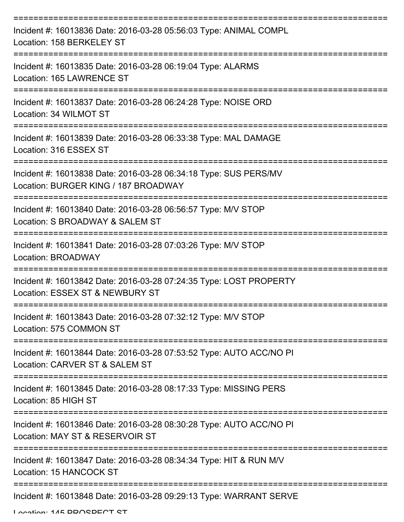| Incident #: 16013836 Date: 2016-03-28 05:56:03 Type: ANIMAL COMPL<br>Location: 158 BERKELEY ST           |
|----------------------------------------------------------------------------------------------------------|
| Incident #: 16013835 Date: 2016-03-28 06:19:04 Type: ALARMS<br>Location: 165 LAWRENCE ST                 |
| Incident #: 16013837 Date: 2016-03-28 06:24:28 Type: NOISE ORD<br>Location: 34 WILMOT ST                 |
| Incident #: 16013839 Date: 2016-03-28 06:33:38 Type: MAL DAMAGE<br>Location: 316 ESSEX ST                |
| Incident #: 16013838 Date: 2016-03-28 06:34:18 Type: SUS PERS/MV<br>Location: BURGER KING / 187 BROADWAY |
| Incident #: 16013840 Date: 2016-03-28 06:56:57 Type: M/V STOP<br>Location: S BROADWAY & SALEM ST         |
| Incident #: 16013841 Date: 2016-03-28 07:03:26 Type: M/V STOP<br>Location: BROADWAY                      |
| Incident #: 16013842 Date: 2016-03-28 07:24:35 Type: LOST PROPERTY<br>Location: ESSEX ST & NEWBURY ST    |
| Incident #: 16013843 Date: 2016-03-28 07:32:12 Type: M/V STOP<br>Location: 575 COMMON ST                 |
| Incident #: 16013844 Date: 2016-03-28 07:53:52 Type: AUTO ACC/NO PI<br>Location: CARVER ST & SALEM ST    |
| Incident #: 16013845 Date: 2016-03-28 08:17:33 Type: MISSING PERS<br>Location: 85 HIGH ST                |
| Incident #: 16013846 Date: 2016-03-28 08:30:28 Type: AUTO ACC/NO PI<br>Location: MAY ST & RESERVOIR ST   |
| Incident #: 16013847 Date: 2016-03-28 08:34:34 Type: HIT & RUN M/V<br>Location: 15 HANCOCK ST            |
| Incident #: 16013848 Date: 2016-03-28 09:29:13 Type: WARRANT SERVE                                       |

Location: 145 DDACDECT CT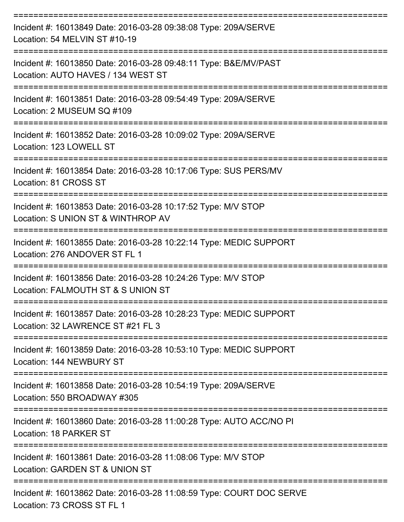| Incident #: 16013849 Date: 2016-03-28 09:38:08 Type: 209A/SERVE<br>Location: 54 MELVIN ST #10-19          |
|-----------------------------------------------------------------------------------------------------------|
| Incident #: 16013850 Date: 2016-03-28 09:48:11 Type: B&E/MV/PAST<br>Location: AUTO HAVES / 134 WEST ST    |
| Incident #: 16013851 Date: 2016-03-28 09:54:49 Type: 209A/SERVE<br>Location: 2 MUSEUM SQ #109             |
| Incident #: 16013852 Date: 2016-03-28 10:09:02 Type: 209A/SERVE<br>Location: 123 LOWELL ST                |
| Incident #: 16013854 Date: 2016-03-28 10:17:06 Type: SUS PERS/MV<br>Location: 81 CROSS ST<br>------------ |
| Incident #: 16013853 Date: 2016-03-28 10:17:52 Type: M/V STOP<br>Location: S UNION ST & WINTHROP AV       |
| Incident #: 16013855 Date: 2016-03-28 10:22:14 Type: MEDIC SUPPORT<br>Location: 276 ANDOVER ST FL 1       |
| Incident #: 16013856 Date: 2016-03-28 10:24:26 Type: M/V STOP<br>Location: FALMOUTH ST & S UNION ST       |
| Incident #: 16013857 Date: 2016-03-28 10:28:23 Type: MEDIC SUPPORT<br>Location: 32 LAWRENCE ST #21 FL 3   |
| Incident #: 16013859 Date: 2016-03-28 10:53:10 Type: MEDIC SUPPORT<br>Location: 144 NEWBURY ST            |
| Incident #: 16013858 Date: 2016-03-28 10:54:19 Type: 209A/SERVE<br>Location: 550 BROADWAY #305            |
| Incident #: 16013860 Date: 2016-03-28 11:00:28 Type: AUTO ACC/NO PI<br>Location: 18 PARKER ST             |
| Incident #: 16013861 Date: 2016-03-28 11:08:06 Type: M/V STOP<br>Location: GARDEN ST & UNION ST           |
| Incident #: 16013862 Date: 2016-03-28 11:08:59 Type: COURT DOC SERVE<br>Location: 73 CROSS ST FL 1        |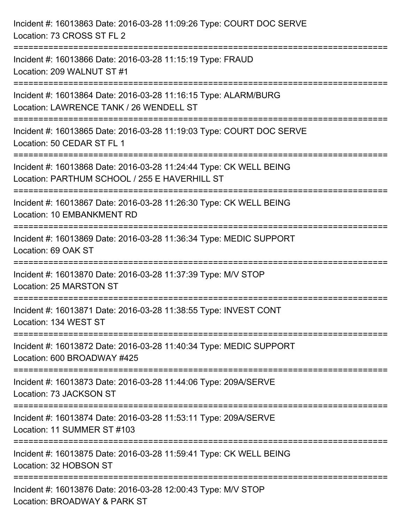| Incident #: 16013863 Date: 2016-03-28 11:09:26 Type: COURT DOC SERVE<br>Location: 73 CROSS ST FL 2                                     |
|----------------------------------------------------------------------------------------------------------------------------------------|
| Incident #: 16013866 Date: 2016-03-28 11:15:19 Type: FRAUD<br>Location: 209 WALNUT ST #1                                               |
| Incident #: 16013864 Date: 2016-03-28 11:16:15 Type: ALARM/BURG<br>Location: LAWRENCE TANK / 26 WENDELL ST                             |
| Incident #: 16013865 Date: 2016-03-28 11:19:03 Type: COURT DOC SERVE<br>Location: 50 CEDAR ST FL 1                                     |
| Incident #: 16013868 Date: 2016-03-28 11:24:44 Type: CK WELL BEING<br>Location: PARTHUM SCHOOL / 255 E HAVERHILL ST                    |
| Incident #: 16013867 Date: 2016-03-28 11:26:30 Type: CK WELL BEING<br>Location: 10 EMBANKMENT RD                                       |
| ----------------------<br>---------------<br>Incident #: 16013869 Date: 2016-03-28 11:36:34 Type: MEDIC SUPPORT<br>Location: 69 OAK ST |
| Incident #: 16013870 Date: 2016-03-28 11:37:39 Type: M/V STOP<br>Location: 25 MARSTON ST                                               |
| Incident #: 16013871 Date: 2016-03-28 11:38:55 Type: INVEST CONT<br>Location: 134 WEST ST                                              |
| Incident #: 16013872 Date: 2016-03-28 11:40:34 Type: MEDIC SUPPORT<br>Location: 600 BROADWAY #425                                      |
| Incident #: 16013873 Date: 2016-03-28 11:44:06 Type: 209A/SERVE<br>Location: 73 JACKSON ST                                             |
| Incident #: 16013874 Date: 2016-03-28 11:53:11 Type: 209A/SERVE<br>Location: 11 SUMMER ST #103                                         |
| Incident #: 16013875 Date: 2016-03-28 11:59:41 Type: CK WELL BEING<br>Location: 32 HOBSON ST                                           |
| Incident #: 16013876 Date: 2016-03-28 12:00:43 Type: M/V STOP<br>Location: BROADWAY & PARK ST                                          |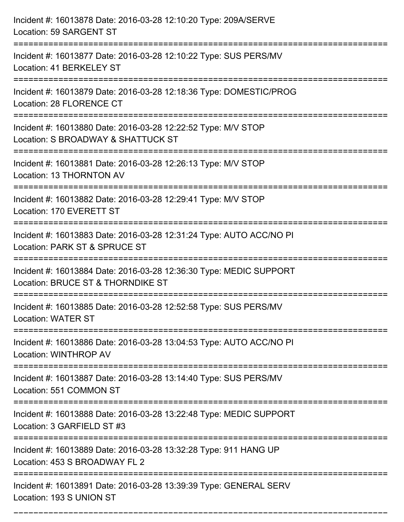| Incident #: 16013878 Date: 2016-03-28 12:10:20 Type: 209A/SERVE<br>Location: 59 SARGENT ST              |
|---------------------------------------------------------------------------------------------------------|
| Incident #: 16013877 Date: 2016-03-28 12:10:22 Type: SUS PERS/MV<br>Location: 41 BERKELEY ST            |
| Incident #: 16013879 Date: 2016-03-28 12:18:36 Type: DOMESTIC/PROG<br>Location: 28 FLORENCE CT          |
| Incident #: 16013880 Date: 2016-03-28 12:22:52 Type: M/V STOP<br>Location: S BROADWAY & SHATTUCK ST     |
| Incident #: 16013881 Date: 2016-03-28 12:26:13 Type: M/V STOP<br>Location: 13 THORNTON AV               |
| Incident #: 16013882 Date: 2016-03-28 12:29:41 Type: M/V STOP<br>Location: 170 EVERETT ST               |
| Incident #: 16013883 Date: 2016-03-28 12:31:24 Type: AUTO ACC/NO PI<br>Location: PARK ST & SPRUCE ST    |
| Incident #: 16013884 Date: 2016-03-28 12:36:30 Type: MEDIC SUPPORT<br>Location: BRUCE ST & THORNDIKE ST |
| Incident #: 16013885 Date: 2016-03-28 12:52:58 Type: SUS PERS/MV<br>Location: WATER ST                  |
| Incident #: 16013886 Date: 2016-03-28 13:04:53 Type: AUTO ACC/NO PI<br>Location: WINTHROP AV            |
| Incident #: 16013887 Date: 2016-03-28 13:14:40 Type: SUS PERS/MV<br>Location: 551 COMMON ST             |
| Incident #: 16013888 Date: 2016-03-28 13:22:48 Type: MEDIC SUPPORT<br>Location: 3 GARFIELD ST #3        |
| Incident #: 16013889 Date: 2016-03-28 13:32:28 Type: 911 HANG UP<br>Location: 453 S BROADWAY FL 2       |
| Incident #: 16013891 Date: 2016-03-28 13:39:39 Type: GENERAL SERV<br>Location: 193 S UNION ST           |

===========================================================================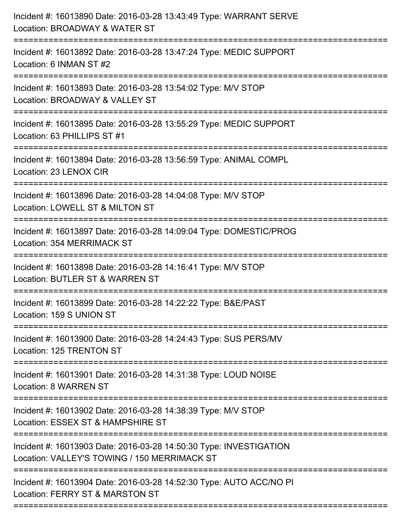| Incident #: 16013890 Date: 2016-03-28 13:43:49 Type: WARRANT SERVE<br>Location: BROADWAY & WATER ST<br>==================             |
|---------------------------------------------------------------------------------------------------------------------------------------|
| Incident #: 16013892 Date: 2016-03-28 13:47:24 Type: MEDIC SUPPORT<br>Location: 6 INMAN ST #2                                         |
| Incident #: 16013893 Date: 2016-03-28 13:54:02 Type: M/V STOP<br>Location: BROADWAY & VALLEY ST<br>:====================              |
| Incident #: 16013895 Date: 2016-03-28 13:55:29 Type: MEDIC SUPPORT<br>Location: 63 PHILLIPS ST #1                                     |
| Incident #: 16013894 Date: 2016-03-28 13:56:59 Type: ANIMAL COMPL<br>Location: 23 LENOX CIR<br>=============================          |
| Incident #: 16013896 Date: 2016-03-28 14:04:08 Type: M/V STOP<br>Location: LOWELL ST & MILTON ST                                      |
| Incident #: 16013897 Date: 2016-03-28 14:09:04 Type: DOMESTIC/PROG<br>Location: 354 MERRIMACK ST                                      |
| Incident #: 16013898 Date: 2016-03-28 14:16:41 Type: M/V STOP<br>Location: BUTLER ST & WARREN ST                                      |
| Incident #: 16013899 Date: 2016-03-28 14:22:22 Type: B&E/PAST<br>Location: 159 S UNION ST                                             |
| Incident #: 16013900 Date: 2016-03-28 14:24:43 Type: SUS PERS/MV<br>Location: 125 TRENTON ST                                          |
| Incident #: 16013901 Date: 2016-03-28 14:31:38 Type: LOUD NOISE<br>Location: 8 WARREN ST                                              |
| Incident #: 16013902 Date: 2016-03-28 14:38:39 Type: M/V STOP<br>Location: ESSEX ST & HAMPSHIRE ST                                    |
| Incident #: 16013903 Date: 2016-03-28 14:50:30 Type: INVESTIGATION<br>Location: VALLEY'S TOWING / 150 MERRIMACK ST                    |
| ===========================<br>Incident #: 16013904 Date: 2016-03-28 14:52:30 Type: AUTO ACC/NO PI<br>Location: FERRY ST & MARSTON ST |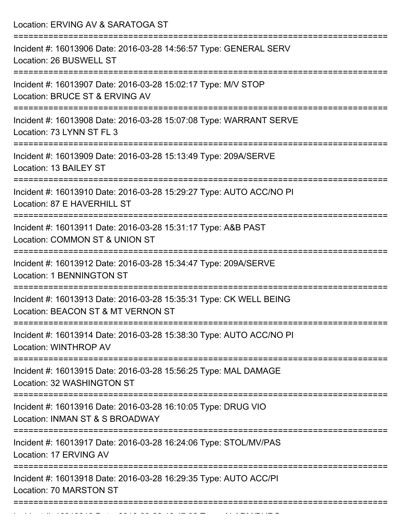| Location: ERVING AV & SARATOGA ST                                                                        |
|----------------------------------------------------------------------------------------------------------|
| Incident #: 16013906 Date: 2016-03-28 14:56:57 Type: GENERAL SERV<br>Location: 26 BUSWELL ST             |
| Incident #: 16013907 Date: 2016-03-28 15:02:17 Type: M/V STOP<br>Location: BRUCE ST & ERVING AV          |
| Incident #: 16013908 Date: 2016-03-28 15:07:08 Type: WARRANT SERVE<br>Location: 73 LYNN ST FL 3          |
| Incident #: 16013909 Date: 2016-03-28 15:13:49 Type: 209A/SERVE<br>Location: 13 BAILEY ST                |
| Incident #: 16013910 Date: 2016-03-28 15:29:27 Type: AUTO ACC/NO PI<br>Location: 87 E HAVERHILL ST       |
| Incident #: 16013911 Date: 2016-03-28 15:31:17 Type: A&B PAST<br>Location: COMMON ST & UNION ST          |
| Incident #: 16013912 Date: 2016-03-28 15:34:47 Type: 209A/SERVE<br><b>Location: 1 BENNINGTON ST</b>      |
| Incident #: 16013913 Date: 2016-03-28 15:35:31 Type: CK WELL BEING<br>Location: BEACON ST & MT VERNON ST |
| Incident #: 16013914 Date: 2016-03-28 15:38:30 Type: AUTO ACC/NO PI<br>Location: WINTHROP AV             |
| Incident #: 16013915 Date: 2016-03-28 15:56:25 Type: MAL DAMAGE<br>Location: 32 WASHINGTON ST            |
| Incident #: 16013916 Date: 2016-03-28 16:10:05 Type: DRUG VIO<br>Location: INMAN ST & S BROADWAY         |
| Incident #: 16013917 Date: 2016-03-28 16:24:06 Type: STOL/MV/PAS<br>Location: 17 ERVING AV               |
| Incident #: 16013918 Date: 2016-03-28 16:29:35 Type: AUTO ACC/PI<br>Location: 70 MARSTON ST              |
|                                                                                                          |

Incident #: 16013919 Date: 2016 03 28 16:47:32 Type: ALARM/BURG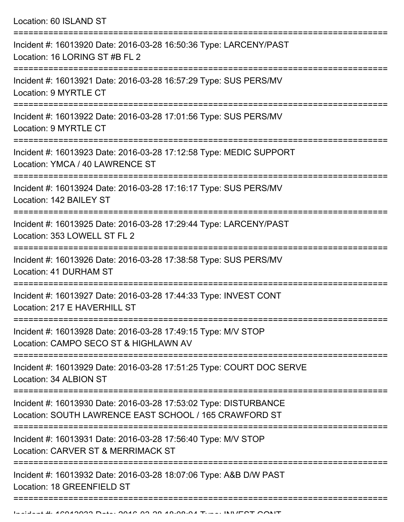Location: 60 ISLAND ST

| Incident #: 16013920 Date: 2016-03-28 16:50:36 Type: LARCENY/PAST<br>Location: 16 LORING ST #B FL 2                        |
|----------------------------------------------------------------------------------------------------------------------------|
| Incident #: 16013921 Date: 2016-03-28 16:57:29 Type: SUS PERS/MV<br>Location: 9 MYRTLE CT                                  |
| Incident #: 16013922 Date: 2016-03-28 17:01:56 Type: SUS PERS/MV<br>Location: 9 MYRTLE CT                                  |
| Incident #: 16013923 Date: 2016-03-28 17:12:58 Type: MEDIC SUPPORT<br>Location: YMCA / 40 LAWRENCE ST                      |
| Incident #: 16013924 Date: 2016-03-28 17:16:17 Type: SUS PERS/MV<br>Location: 142 BAILEY ST                                |
| Incident #: 16013925 Date: 2016-03-28 17:29:44 Type: LARCENY/PAST<br>Location: 353 LOWELL ST FL 2                          |
| Incident #: 16013926 Date: 2016-03-28 17:38:58 Type: SUS PERS/MV<br>Location: 41 DURHAM ST                                 |
| Incident #: 16013927 Date: 2016-03-28 17:44:33 Type: INVEST CONT<br>Location: 217 E HAVERHILL ST                           |
| Incident #: 16013928 Date: 2016-03-28 17:49:15 Type: M/V STOP<br>Location: CAMPO SECO ST & HIGHLAWN AV                     |
| Incident #: 16013929 Date: 2016-03-28 17:51:25 Type: COURT DOC SERVE<br>Location: 34 ALBION ST                             |
| Incident #: 16013930 Date: 2016-03-28 17:53:02 Type: DISTURBANCE<br>Location: SOUTH LAWRENCE EAST SCHOOL / 165 CRAWFORD ST |
| Incident #: 16013931 Date: 2016-03-28 17:56:40 Type: M/V STOP<br>Location: CARVER ST & MERRIMACK ST                        |
| Incident #: 16013932 Date: 2016-03-28 18:07:06 Type: A&B D/W PAST<br>Location: 18 GREENFIELD ST                            |
|                                                                                                                            |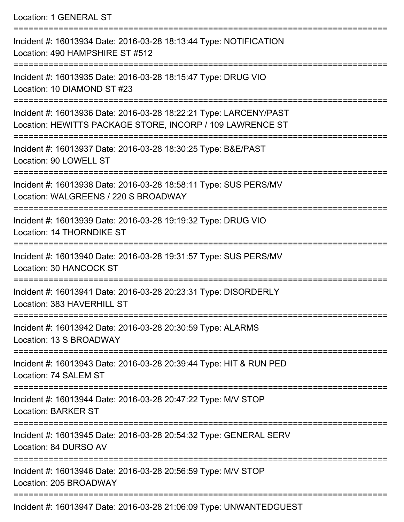Location: 1 GENERAL ST

=========================================================================== Incident #: 16013934 Date: 2016-03-28 18:13:44 Type: NOTIFICATION Location: 490 HAMPSHIRE ST #512 =========================================================================== Incident #: 16013935 Date: 2016-03-28 18:15:47 Type: DRUG VIO Location: 10 DIAMOND ST #23 =========================================================================== Incident #: 16013936 Date: 2016-03-28 18:22:21 Type: LARCENY/PAST Location: HEWITTS PACKAGE STORE, INCORP / 109 LAWRENCE ST =========================================================================== Incident #: 16013937 Date: 2016-03-28 18:30:25 Type: B&E/PAST Location: 90 LOWELL ST =========================================================================== Incident #: 16013938 Date: 2016-03-28 18:58:11 Type: SUS PERS/MV Location: WALGREENS / 220 S BROADWAY =========================================================================== Incident #: 16013939 Date: 2016-03-28 19:19:32 Type: DRUG VIO Location: 14 THORNDIKE ST =========================================================================== Incident #: 16013940 Date: 2016-03-28 19:31:57 Type: SUS PERS/MV Location: 30 HANCOCK ST =========================================================================== Incident #: 16013941 Date: 2016-03-28 20:23:31 Type: DISORDERLY Location: 383 HAVERHILL ST =========================================================================== Incident #: 16013942 Date: 2016-03-28 20:30:59 Type: ALARMS Location: 13 S BROADWAY =========================================================================== Incident #: 16013943 Date: 2016-03-28 20:39:44 Type: HIT & RUN PED Location: 74 SALEM ST =========================================================================== Incident #: 16013944 Date: 2016-03-28 20:47:22 Type: M/V STOP Location: BARKER ST =========================================================================== Incident #: 16013945 Date: 2016-03-28 20:54:32 Type: GENERAL SERV Location: 84 DURSO AV =========================================================================== Incident #: 16013946 Date: 2016-03-28 20:56:59 Type: M/V STOP Location: 205 BROADWAY ===========================================================================

Incident #: 16013947 Date: 2016-03-28 21:06:09 Type: UNWANTEDGUEST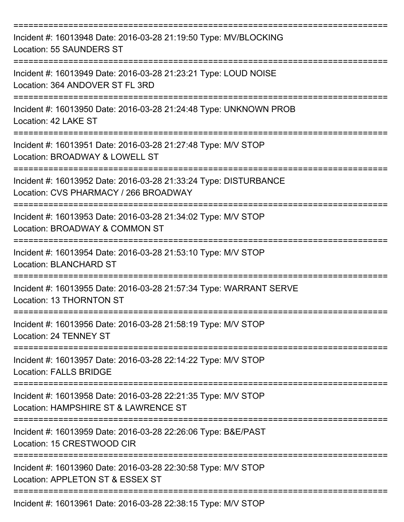| Incident #: 16013948 Date: 2016-03-28 21:19:50 Type: MV/BLOCKING<br>Location: 55 SAUNDERS ST              |
|-----------------------------------------------------------------------------------------------------------|
| Incident #: 16013949 Date: 2016-03-28 21:23:21 Type: LOUD NOISE<br>Location: 364 ANDOVER ST FL 3RD        |
| Incident #: 16013950 Date: 2016-03-28 21:24:48 Type: UNKNOWN PROB<br>Location: 42 LAKE ST                 |
| Incident #: 16013951 Date: 2016-03-28 21:27:48 Type: M/V STOP<br>Location: BROADWAY & LOWELL ST           |
| Incident #: 16013952 Date: 2016-03-28 21:33:24 Type: DISTURBANCE<br>Location: CVS PHARMACY / 266 BROADWAY |
| Incident #: 16013953 Date: 2016-03-28 21:34:02 Type: M/V STOP<br>Location: BROADWAY & COMMON ST           |
| Incident #: 16013954 Date: 2016-03-28 21:53:10 Type: M/V STOP<br><b>Location: BLANCHARD ST</b>            |
| Incident #: 16013955 Date: 2016-03-28 21:57:34 Type: WARRANT SERVE<br>Location: 13 THORNTON ST            |
| Incident #: 16013956 Date: 2016-03-28 21:58:19 Type: M/V STOP<br>Location: 24 TENNEY ST                   |
| Incident #: 16013957 Date: 2016-03-28 22:14:22 Type: M/V STOP<br><b>Location: FALLS BRIDGE</b>            |
| Incident #: 16013958 Date: 2016-03-28 22:21:35 Type: M/V STOP<br>Location: HAMPSHIRE ST & LAWRENCE ST     |
| Incident #: 16013959 Date: 2016-03-28 22:26:06 Type: B&E/PAST<br>Location: 15 CRESTWOOD CIR               |
| Incident #: 16013960 Date: 2016-03-28 22:30:58 Type: M/V STOP<br>Location: APPLETON ST & ESSEX ST         |
| Incident #: 16013961 Date: 2016-03-28 22:38:15 Type: M/V STOP                                             |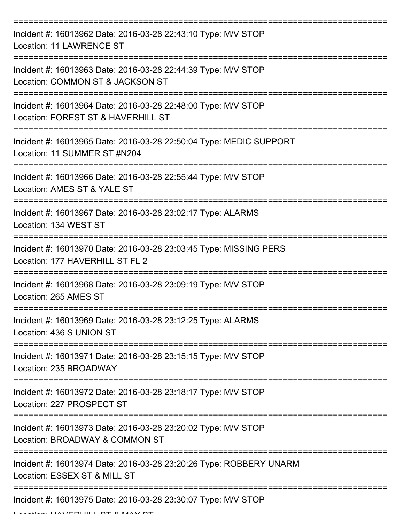| Incident #: 16013962 Date: 2016-03-28 22:43:10 Type: M/V STOP<br><b>Location: 11 LAWRENCE ST</b>     |
|------------------------------------------------------------------------------------------------------|
| Incident #: 16013963 Date: 2016-03-28 22:44:39 Type: M/V STOP<br>Location: COMMON ST & JACKSON ST    |
| Incident #: 16013964 Date: 2016-03-28 22:48:00 Type: M/V STOP<br>Location: FOREST ST & HAVERHILL ST  |
| Incident #: 16013965 Date: 2016-03-28 22:50:04 Type: MEDIC SUPPORT<br>Location: 11 SUMMER ST #N204   |
| Incident #: 16013966 Date: 2016-03-28 22:55:44 Type: M/V STOP<br>Location: AMES ST & YALE ST         |
| Incident #: 16013967 Date: 2016-03-28 23:02:17 Type: ALARMS<br>Location: 134 WEST ST                 |
| Incident #: 16013970 Date: 2016-03-28 23:03:45 Type: MISSING PERS<br>Location: 177 HAVERHILL ST FL 2 |
| Incident #: 16013968 Date: 2016-03-28 23:09:19 Type: M/V STOP<br>Location: 265 AMES ST               |
| Incident #: 16013969 Date: 2016-03-28 23:12:25 Type: ALARMS<br>Location: 436 S UNION ST              |
| Incident #: 16013971 Date: 2016-03-28 23:15:15 Type: M/V STOP<br>Location: 235 BROADWAY              |
| Incident #: 16013972 Date: 2016-03-28 23:18:17 Type: M/V STOP<br>Location: 227 PROSPECT ST           |
| Incident #: 16013973 Date: 2016-03-28 23:20:02 Type: M/V STOP<br>Location: BROADWAY & COMMON ST      |
| Incident #: 16013974 Date: 2016-03-28 23:20:26 Type: ROBBERY UNARM<br>Location: ESSEX ST & MILL ST   |
| Incident #: 16013975 Date: 2016-03-28 23:30:07 Type: M/V STOP                                        |